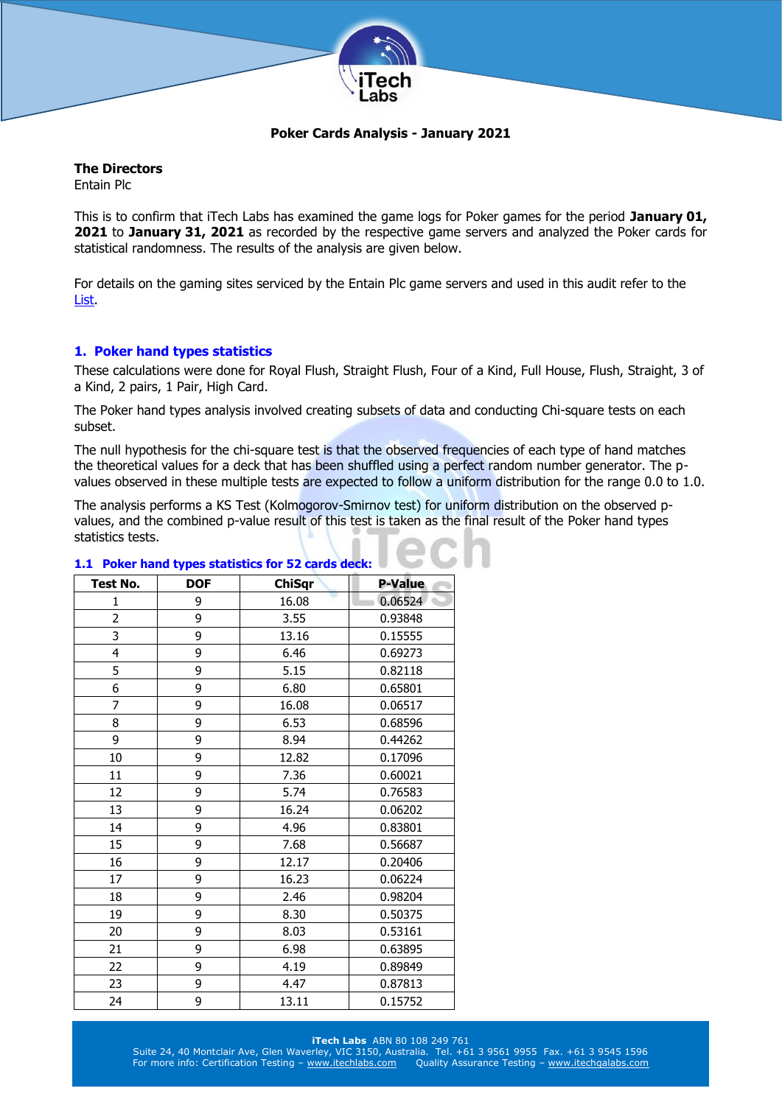

## **Poker Cards Analysis - January 2021**

## **The Directors**

Entain Plc

This is to confirm that iTech Labs has examined the game logs for Poker games for the period **January 01, 2021** to **January 31, 2021** as recorded by the respective game servers and analyzed the Poker cards for statistical randomness. The results of the analysis are given below.

For details on the gaming sites serviced by the Entain Plc game servers and used in this audit refer to the [List.](http://www.itechlabs.com/certificates/Entain/Poker_Gaming_Sites_Jan21.pdf)

## **1. Poker hand types statistics**

These calculations were done for Royal Flush, Straight Flush, Four of a Kind, Full House, Flush, Straight, 3 of a Kind, 2 pairs, 1 Pair, High Card.

The Poker hand types analysis involved creating subsets of data and conducting Chi-square tests on each subset.

The null hypothesis for the chi-square test is that the observed frequencies of each type of hand matches the theoretical values for a deck that has been shuffled using a perfect random number generator. The pvalues observed in these multiple tests are expected to follow a uniform distribution for the range 0.0 to 1.0.

The analysis performs a KS Test (Kolmogorov-Smirnov test) for uniform distribution on the observed pvalues, and the combined p-value result of this test is taken as the final result of the Poker hand types statistics tests.

| <b>Test No.</b> | <b>DOF</b> | <b>ChiSqr</b> | <b>P-Value</b> |
|-----------------|------------|---------------|----------------|
| 1               | 9          | 16.08         | 0.06524        |
| $\overline{2}$  | 9          | 3.55          | 0.93848        |
| 3               | 9          | 13.16         | 0.15555        |
| 4               | 9          | 6.46          | 0.69273        |
| 5               | 9          | 5.15          | 0.82118        |
| 6               | 9          | 6.80          | 0.65801        |
| $\overline{7}$  | 9          | 16.08         | 0.06517        |
| 8               | 9          | 6.53          | 0.68596        |
| 9               | 9          | 8.94          | 0.44262        |
| 10              | 9          | 12.82         | 0.17096        |
| 11              | 9          | 7.36          | 0.60021        |
| 12              | 9          | 5.74          | 0.76583        |
| 13              | 9          | 16.24         | 0.06202        |
| 14              | 9          | 4.96          | 0.83801        |
| 15              | 9          | 7.68          | 0.56687        |
| 16              | 9          | 12.17         | 0.20406        |
| 17              | 9          | 16.23         | 0.06224        |
| 18              | 9          | 2.46          | 0.98204        |
| 19              | 9          | 8.30          | 0.50375        |
| 20              | 9          | 8.03          | 0.53161        |
| 21              | 9          | 6.98          | 0.63895        |
| 22              | 9          | 4.19          | 0.89849        |
| 23              | 9          | 4.47          | 0.87813        |
| 24              | 9          | 13.11         | 0.15752        |

### **1.1 Poker hand types statistics for 52 cards deck:**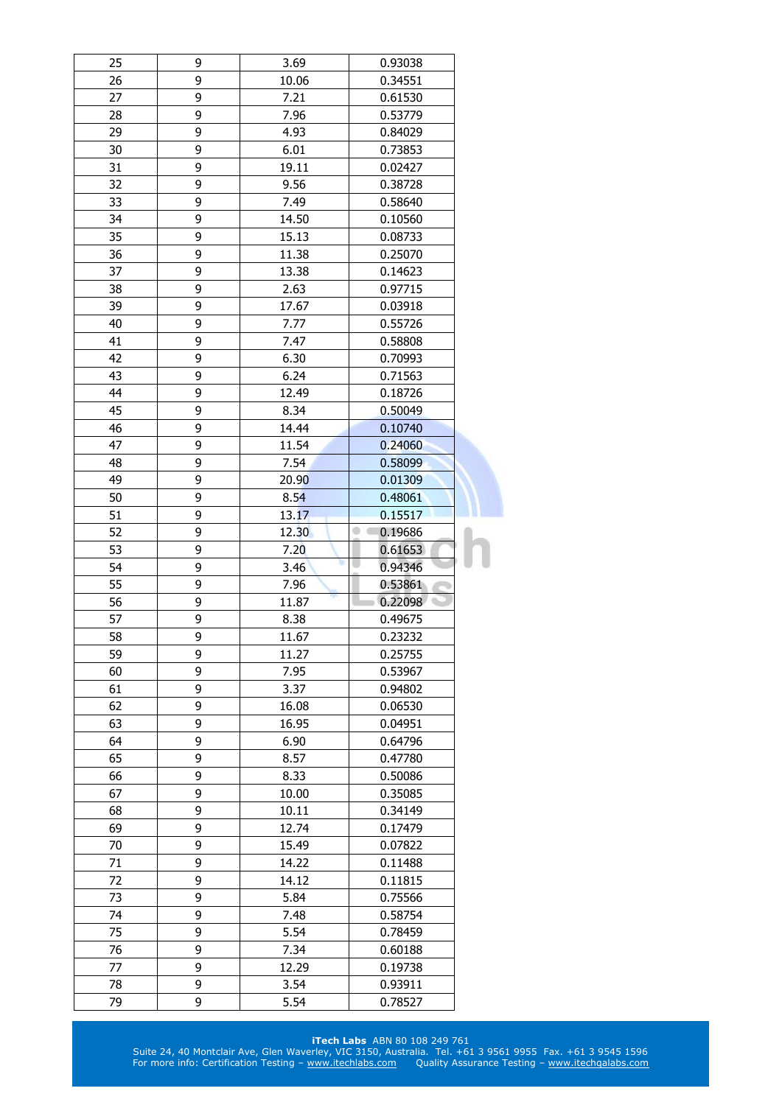| 25       | 9      | 3.69             | 0.93038                    |  |
|----------|--------|------------------|----------------------------|--|
| 26       | 9      | 10.06<br>0.34551 |                            |  |
| 27       | 9      | 7.21<br>0.61530  |                            |  |
| 28       | 9      | 7.96             | 0.53779                    |  |
| 29       | 9      | 4.93             | 0.84029                    |  |
| 30       | 9      | 6.01             | 0.73853                    |  |
| 31       | 9      | 19.11            | 0.02427                    |  |
| 32       | 9      | 9.56             | 0.38728                    |  |
| 33       | 9      | 7.49             | 0.58640                    |  |
| 34       | 9      | 14.50            | 0.10560                    |  |
| 35       | 9      | 15.13            | 0.08733                    |  |
| 36       | 9      | 11.38            | 0.25070                    |  |
| 37       | 9      | 13.38            | 0.14623                    |  |
| 38       | 9      | 2.63             | 0.97715                    |  |
| 39       | 9      | 17.67            | 0.03918                    |  |
| 40       | 9      | 7.77             | 0.55726                    |  |
| 41       | 9      | 7.47             | 0.58808                    |  |
| 42       | 9      | 6.30             | 0.70993                    |  |
| 43       | 9      | 6.24             | 0.71563                    |  |
| 44       | 9      | 12.49            | 0.18726                    |  |
| 45       | 9      | 8.34             | 0.50049                    |  |
|          |        |                  |                            |  |
| 46       | 9      | 14.44            | 0.10740                    |  |
| 47       | 9      | 11.54            | 0.24060                    |  |
| 48       | 9      | 7.54             | 0.58099                    |  |
| 49       | 9      | <b>20.90</b>     | 0.01309                    |  |
| 50       | 9      | 8.54             | 0.48061                    |  |
| 51       | 9      | 13.17            | 0.15517                    |  |
| 52       | 9      | 12.30            | 0.19686<br>$\circ$ $\circ$ |  |
|          |        |                  |                            |  |
| 53       | 9      | 7.20             | 0.61653                    |  |
| 54       | 9      | 3.46             | 0.94346                    |  |
| 55       | 9      | 7.96             | 0.53861                    |  |
| 56       | 9      | 11.87            | 0.22098                    |  |
| 57       | 9      | 8.38             | 0.49675                    |  |
| 58       | 9      | 11.67            | 0.23232                    |  |
| 59       | 9      | 11.27            | 0.25755                    |  |
| 60       | 9      | 7.95             | 0.53967                    |  |
| 61       | 9      | 3.37             | 0.94802                    |  |
| 62       | 9      | 16.08            | 0.06530                    |  |
| 63       | 9      | 16.95            | 0.04951                    |  |
| 64       | 9      | 6.90             | 0.64796                    |  |
| 65       | 9      | 8.57             | 0.47780                    |  |
| 66       | 9      | 8.33             | 0.50086                    |  |
| 67       | 9      | 10.00            | 0.35085                    |  |
| 68       | 9      | 10.11            | 0.34149                    |  |
| 69       | 9      | 12.74            | 0.17479                    |  |
| 70       | 9      | 15.49            | 0.07822                    |  |
| 71       | 9      | 14.22            | 0.11488                    |  |
| 72       | 9      | 14.12            | 0.11815                    |  |
|          |        |                  |                            |  |
| 73       | 9      | 5.84             | 0.75566                    |  |
| 74       | 9      | 7.48             | 0.58754                    |  |
| 75       | 9      | 5.54             | 0.78459                    |  |
| 76       | 9      | 7.34             | 0.60188                    |  |
| 77       | 9      | 12.29            | 0.19738                    |  |
| 78<br>79 | 9<br>9 | 3.54<br>5.54     | 0.93911<br>0.78527         |  |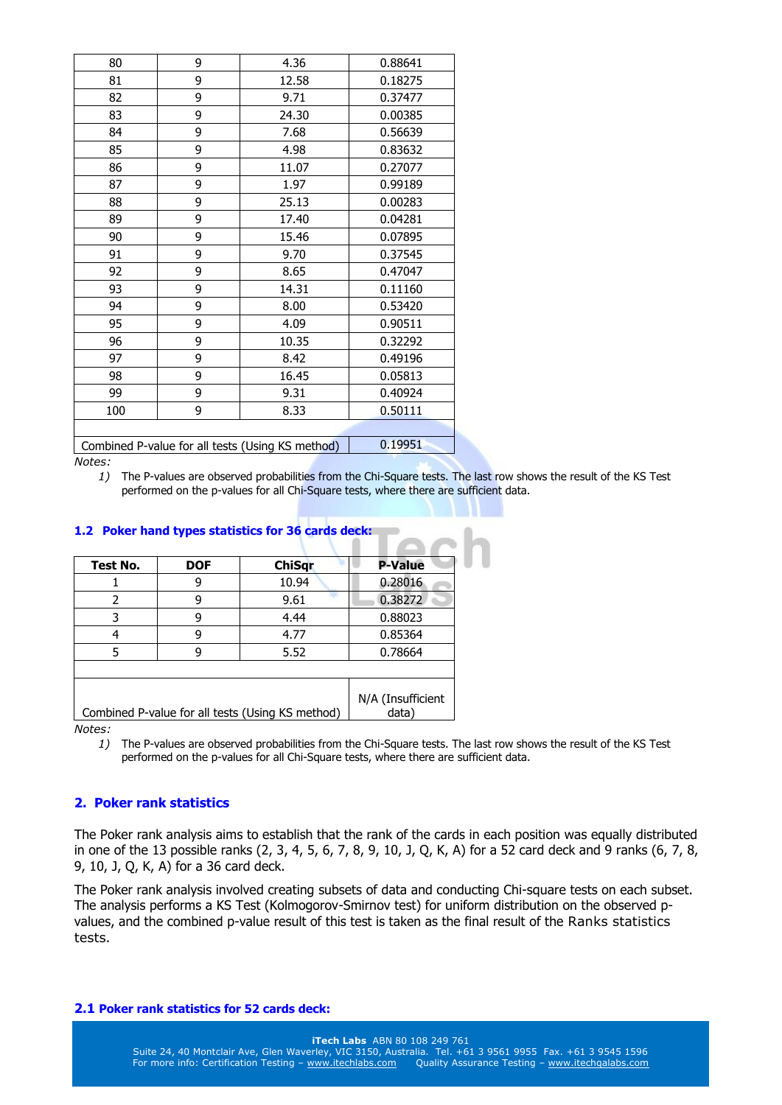| 80  | 9 | 4.36                                             | 0.88641 |
|-----|---|--------------------------------------------------|---------|
| 81  | 9 | 12.58                                            | 0.18275 |
| 82  | 9 | 9.71                                             | 0.37477 |
| 83  | 9 | 24.30                                            | 0.00385 |
| 84  | 9 | 7.68                                             | 0.56639 |
| 85  | 9 | 4.98                                             | 0.83632 |
| 86  | 9 | 11.07                                            | 0.27077 |
| 87  | 9 | 1.97                                             | 0.99189 |
| 88  | 9 | 25.13                                            | 0.00283 |
| 89  | 9 | 17.40                                            | 0.04281 |
| 90  | 9 | 15.46                                            | 0.07895 |
| 91  | 9 | 9.70                                             | 0.37545 |
| 92  | 9 | 8.65                                             | 0.47047 |
| 93  | 9 | 14.31                                            | 0.11160 |
| 94  | 9 | 8.00                                             | 0.53420 |
| 95  | 9 | 4.09                                             | 0.90511 |
| 96  | 9 | 10.35                                            | 0.32292 |
| 97  | 9 | 8.42                                             | 0.49196 |
| 98  | 9 | 16.45                                            | 0.05813 |
| 99  | 9 | 9.31                                             | 0.40924 |
| 100 | 9 | 8.33                                             | 0.50111 |
|     |   |                                                  |         |
|     |   | Combined P-value for all tests (Using KS method) | 0.19951 |

*1)* The P-values are observed probabilities from the Chi-Square tests. The last row shows the result of the KS Test performed on the p-values for all Chi-Square tests, where there are sufficient data.

| <b>DOF</b> | <b>ChiSqr</b> | <b>P-Value</b>                                   |
|------------|---------------|--------------------------------------------------|
| 9          | 10.94         | 0.28016                                          |
| q          | 9.61          | 0.38272                                          |
| 9          | 4.44          | 0.88023                                          |
| q          | 4.77          | 0.85364                                          |
| q          | 5.52          | 0.78664                                          |
|            |               | N/A (Insufficient<br>data)                       |
|            |               | Combined P-value for all tests (Using KS method) |

## **1.2 Poker hand types statistics for 36 cards deck:**

*Notes:* 

*1)* The P-values are observed probabilities from the Chi-Square tests. The last row shows the result of the KS Test performed on the p-values for all Chi-Square tests, where there are sufficient data.

# **2. Poker rank statistics**

The Poker rank analysis aims to establish that the rank of the cards in each position was equally distributed in one of the 13 possible ranks (2, 3, 4, 5, 6, 7, 8, 9, 10, J, Q, K, A) for a 52 card deck and 9 ranks (6, 7, 8, 9, 10, J, Q, K, A) for a 36 card deck.

The Poker rank analysis involved creating subsets of data and conducting Chi-square tests on each subset. The analysis performs a KS Test (Kolmogorov-Smirnov test) for uniform distribution on the observed pvalues, and the combined p-value result of this test is taken as the final result of the Ranks statistics tests.

### **2.1 Poker rank statistics for 52 cards deck:**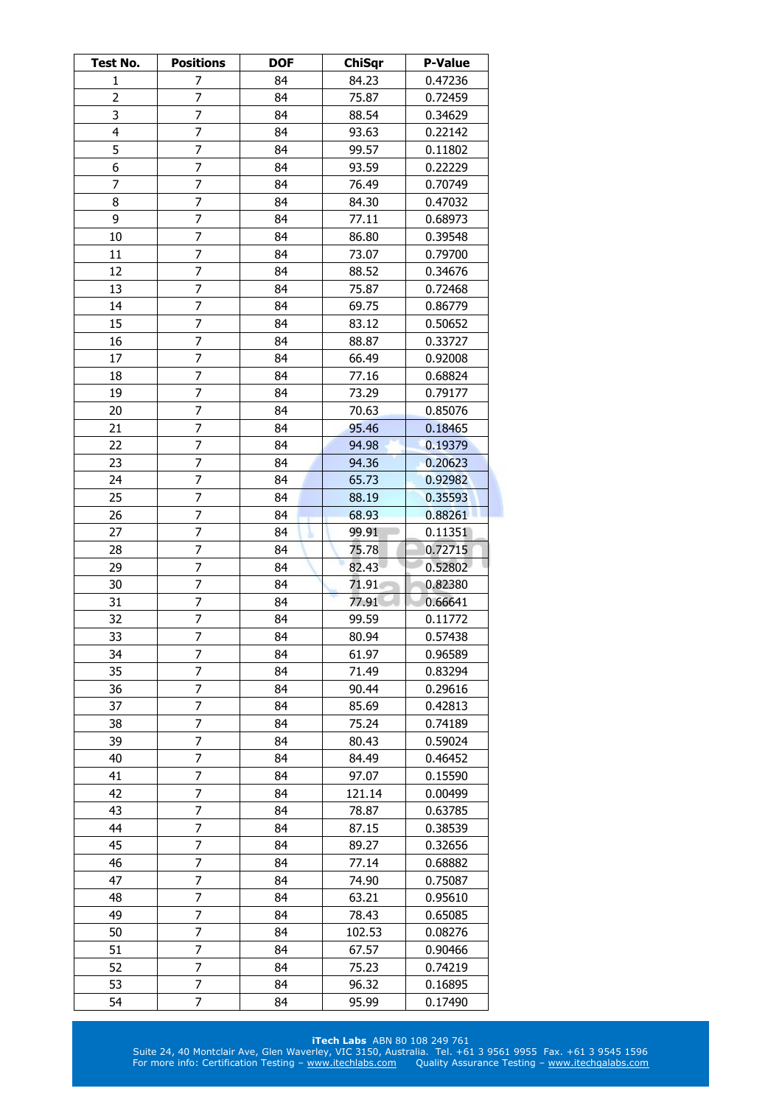| Test No.       | <b>Positions</b> | <b>DOF</b> | <b>ChiSqr</b> | <b>P-Value</b> |
|----------------|------------------|------------|---------------|----------------|
| 1              | 7                | 84         | 84.23         | 0.47236        |
| $\overline{2}$ | 7                | 84         | 75.87         | 0.72459        |
| 3              | 7                | 84         | 88.54         | 0.34629        |
| 4              | 7                | 84         | 93.63         | 0.22142        |
| 5              | 7                | 84         | 99.57         | 0.11802        |
| 6              | 7                | 84         | 93.59         | 0.22229        |
| 7              | 7                | 84         | 76.49         | 0.70749        |
| 8              | 7                | 84         | 84.30         | 0.47032        |
| 9              | 7                | 84         | 77.11         | 0.68973        |
| 10             | 7                | 84         | 86.80         | 0.39548        |
| 11             | 7                | 84         | 73.07         | 0.79700        |
| 12             | $\overline{7}$   | 84         | 88.52         | 0.34676        |
| 13             | 7                | 84         | 75.87         | 0.72468        |
| 14             | 7                | 84         | 69.75         | 0.86779        |
| 15             | $\overline{7}$   | 84         | 83.12         | 0.50652        |
| 16             | 7                | 84         | 88.87         | 0.33727        |
| 17             | $\overline{7}$   | 84         | 66.49         | 0.92008        |
| 18             | 7                | 84         | 77.16         | 0.68824        |
| 19             | 7                | 84         | 73.29         | 0.79177        |
| 20             | 7                | 84         | 70.63         | 0.85076        |
| 21             | 7                | 84         | 95.46         | 0.18465        |
| 22             | 7                | 84         | 94.98         | 0.19379        |
| 23             | 7                | 84         | 94.36         | 0.20623        |
| 24             | 7                | 84         | 65.73         | 0.92982        |
| 25             | 7                | 84         | 88.19         | 0.35593        |
| 26             | 7                | 84         | 68.93         | 0.88261        |
| 27             | $\overline{7}$   | 84         | 99.91         | 0.11351        |
| 28             | 7                | 84         | 75.78         | 0.72715        |
| 29             | 7                | 84         | 82.43         | 0.52802        |
| 30             | 7                | 84         | 71.91         | 0.82380        |
| 31             | 7                | 84         | 77.91         | 0.66641        |
| 32             | 7                | 84         | 99.59         | 0.11772        |
| 33             | $\overline{7}$   | 84         | 80.94         | 0.57438        |
| 34             | 7                | 84         | 61.97         | 0.96589        |
| 35             | 7                | 84         | 71.49         | 0.83294        |
| 36             | 7                | 84         | 90.44         | 0.29616        |
| 37             | 7                | 84         | 85.69         | 0.42813        |
| 38             | 7                | 84         | 75.24         | 0.74189        |
| 39             | 7                | 84         | 80.43         | 0.59024        |
| 40             | 7                | 84         | 84.49         | 0.46452        |
| 41             | 7                | 84         | 97.07         | 0.15590        |
| 42             | 7                | 84         | 121.14        | 0.00499        |
| 43             | 7                | 84         | 78.87         | 0.63785        |
| 44             | 7                | 84         | 87.15         | 0.38539        |
| 45             | 7                | 84         | 89.27         | 0.32656        |
| 46             | $\overline{7}$   | 84         | 77.14         | 0.68882        |
| 47             | 7                | 84         | 74.90         | 0.75087        |
| 48             | 7                | 84         | 63.21         | 0.95610        |
| 49             | 7                | 84         | 78.43         | 0.65085        |
| 50             | 7                | 84         | 102.53        | 0.08276        |
| 51             | 7                | 84         | 67.57         | 0.90466        |
| 52             | 7                | 84         | 75.23         | 0.74219        |
| 53             | 7                | 84         | 96.32         | 0.16895        |
| 54             | 7                | 84         | 95.99         | 0.17490        |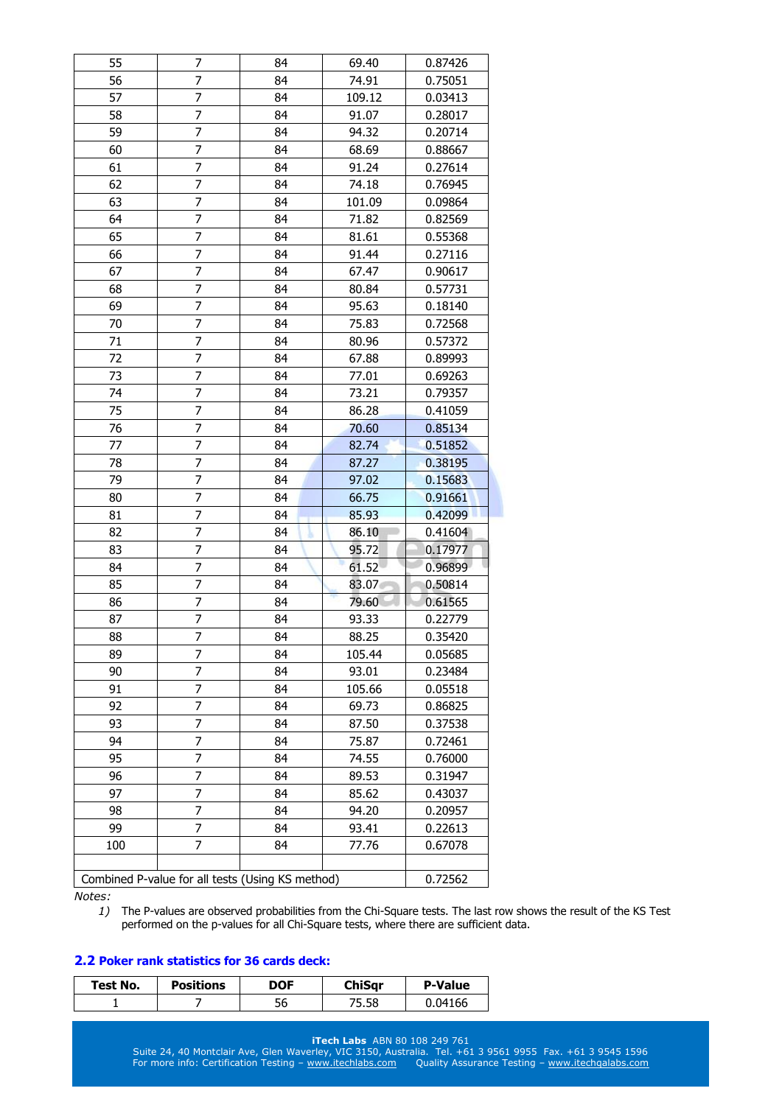| 55  | 7                                                | 84 | 69.40  | 0.87426 |
|-----|--------------------------------------------------|----|--------|---------|
| 56  | 7                                                | 84 | 74.91  | 0.75051 |
| 57  | 7                                                | 84 | 109.12 | 0.03413 |
| 58  | 7                                                | 84 | 91.07  | 0.28017 |
| 59  | 7                                                | 84 | 94.32  | 0.20714 |
| 60  | 7                                                | 84 | 68.69  | 0.88667 |
| 61  | 7                                                | 84 | 91.24  | 0.27614 |
| 62  | 7                                                | 84 | 74.18  | 0.76945 |
| 63  | 7                                                | 84 | 101.09 | 0.09864 |
| 64  | 7                                                | 84 | 71.82  | 0.82569 |
| 65  | 7                                                | 84 | 81.61  | 0.55368 |
| 66  | 7                                                | 84 | 91.44  | 0.27116 |
| 67  | 7                                                | 84 | 67.47  | 0.90617 |
| 68  | 7                                                | 84 | 80.84  | 0.57731 |
| 69  | 7                                                | 84 | 95.63  | 0.18140 |
| 70  | $\overline{7}$                                   | 84 | 75.83  | 0.72568 |
| 71  | 7                                                | 84 | 80.96  | 0.57372 |
| 72  | 7                                                | 84 | 67.88  | 0.89993 |
| 73  | 7                                                | 84 | 77.01  | 0.69263 |
| 74  | 7                                                | 84 | 73.21  | 0.79357 |
| 75  | 7                                                | 84 | 86.28  | 0.41059 |
| 76  | 7                                                | 84 | 70.60  | 0.85134 |
| 77  | 7                                                | 84 | 82.74  | 0.51852 |
| 78  | 7                                                | 84 | 87.27  | 0.38195 |
| 79  | 7                                                | 84 | 97.02  | 0.15683 |
| 80  | $\overline{7}$                                   | 84 | 66.75  | 0.91661 |
| 81  | 7                                                | 84 | 85.93  | 0.42099 |
| 82  | 7                                                | 84 | 86.10  | 0.41604 |
| 83  | 7                                                | 84 | 95.72  | 0.17977 |
| 84  | 7                                                | 84 | 61.52  | 0.96899 |
| 85  | 7                                                | 84 | 83.07  | 0.50814 |
| 86  | 7                                                | 84 | 79.60  | 0.61565 |
| 87  | $\overline{7}$                                   | 84 | 93.33  | 0.22779 |
| 88  | $\overline{7}$                                   | 84 | 88.25  | 0.35420 |
| 89  | 7                                                | 84 | 105.44 | 0.05685 |
| 90  | 7                                                | 84 | 93.01  | 0.23484 |
| 91  | 7                                                | 84 | 105.66 | 0.05518 |
| 92  | 7                                                | 84 | 69.73  | 0.86825 |
| 93  | 7                                                | 84 | 87.50  | 0.37538 |
| 94  | 7                                                | 84 | 75.87  | 0.72461 |
| 95  | 7                                                | 84 | 74.55  | 0.76000 |
| 96  | 7                                                | 84 | 89.53  | 0.31947 |
| 97  | 7                                                | 84 | 85.62  | 0.43037 |
| 98  | 7                                                | 84 | 94.20  | 0.20957 |
| 99  | 7                                                | 84 | 93.41  | 0.22613 |
| 100 | 7                                                | 84 | 77.76  | 0.67078 |
|     |                                                  |    |        |         |
|     | Combined P-value for all tests (Using KS method) |    |        | 0.72562 |

*1)* The P-values are observed probabilities from the Chi-Square tests. The last row shows the result of the KS Test performed on the p-values for all Chi-Square tests, where there are sufficient data.

### **2.2 Poker rank statistics for 36 cards deck:**

| Test No. | <b>Positions</b> | DOF | ChiSar | <b>P-Value</b> |
|----------|------------------|-----|--------|----------------|
|          |                  | 56  | 75.58  | 0.04166        |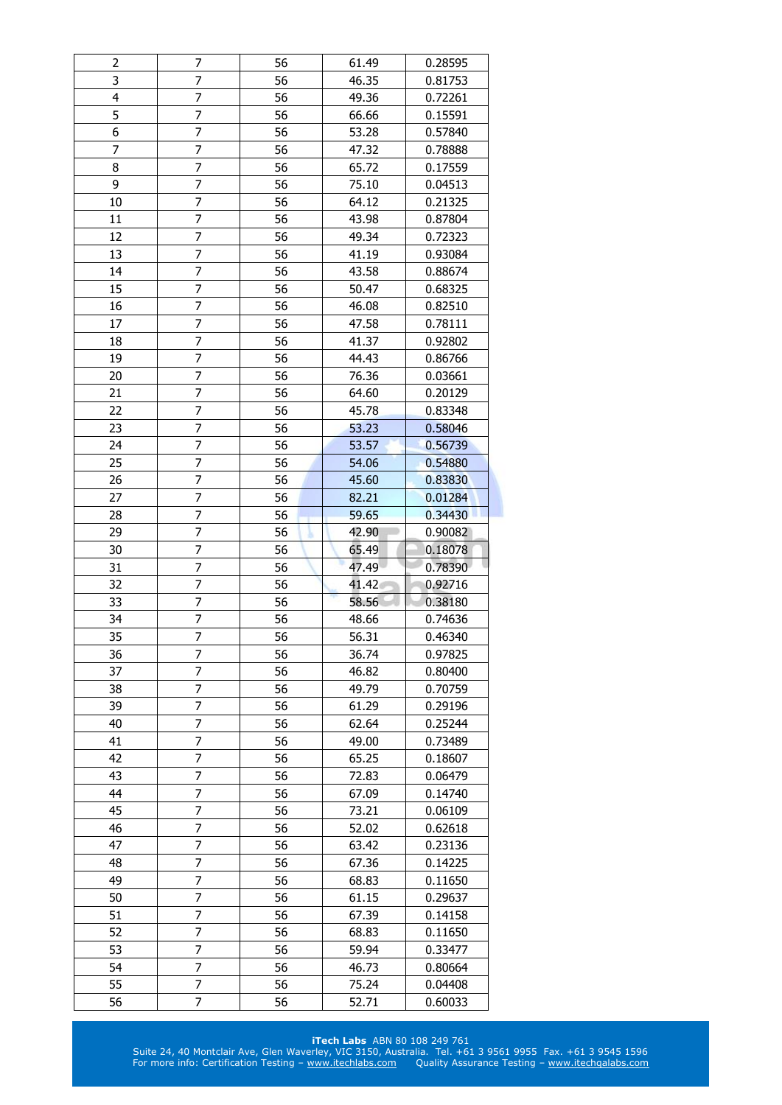| 2                       | 7                   | 56       | 61.49          | 0.28595            |
|-------------------------|---------------------|----------|----------------|--------------------|
| 3                       | 7                   | 56       | 46.35          | 0.81753            |
| $\overline{\mathbf{4}}$ | 7                   | 56       | 49.36          | 0.72261            |
| 5                       | 7                   | 56       | 66.66          | 0.15591            |
| $\overline{6}$          | $\overline{7}$      | 56       | 53.28          | 0.57840            |
| 7                       | 7                   | 56       | 47.32          | 0.78888            |
| 8                       | 7                   | 56       | 65.72          | 0.17559            |
| 9                       | $\overline{7}$      | 56       | 75.10          | 0.04513            |
| 10                      | 7                   | 56       | 64.12          | 0.21325            |
| 11                      | 7                   | 56       | 43.98          | 0.87804            |
| 12                      | 7                   | 56       | 49.34          | 0.72323            |
| 13                      | 7                   | 56       | 41.19          | 0.93084            |
| 14                      | 7                   | 56       | 43.58          | 0.88674            |
| 15                      | $\overline{7}$      | 56       | 50.47          | 0.68325            |
| 16                      | 7                   | 56       | 46.08          | 0.82510            |
| 17                      | 7                   | 56       | 47.58          | 0.78111            |
| 18                      | $\overline{7}$      | 56       | 41.37          | 0.92802            |
| 19                      | 7                   | 56       | 44.43          | 0.86766            |
| 20                      | 7                   | 56       | 76.36          | 0.03661            |
| 21                      | $\overline{7}$      | 56       | 64.60          | 0.20129            |
| 22                      | 7                   | 56       |                |                    |
|                         |                     | 56       | 45.78<br>53.23 | 0.83348            |
| 23                      | 7                   |          |                | 0.58046            |
| 24                      | 7                   | 56       | 53.57          | 0.56739            |
| 25                      | 7                   | 56       | 54.06          | 0.54880            |
| 26                      | 7                   | 56       | 45.60          | 0.83830            |
| 27                      | 7                   | 56       | 82.21          | 0.01284            |
| 28<br>29                | $\overline{7}$<br>7 | 56       | 59.65          | 0.34430            |
|                         |                     |          |                |                    |
|                         |                     | 56       | 42.90          | 0.90082            |
| 30                      | 7                   | 56       | 65.49          | 0.18078            |
| 31                      | 7                   | 56       | 47.49          | 0.78390            |
| 32                      | 7                   | 56       | 41.42          | 0.92716            |
| 33                      | 7                   | 56       | 58.56          | 0.38180            |
| 34                      | $\overline{7}$      | 56       | 48.66          | 0.74636            |
| 35                      | 7                   | 56       | 56.31          | 0.46340            |
| 36                      | 7                   | 56       | 36.74          | 0.97825            |
| 37                      | 7                   | 56       | 46.82          | 0.80400            |
| 38                      | 7                   | 56       | 49.79          | 0.70759            |
| 39                      | 7                   | 56       | 61.29          | 0.29196            |
| 40                      | 7                   | 56       | 62.64          | 0.25244            |
| 41                      | 7                   | 56       | 49.00          | 0.73489            |
| 42                      | 7                   | 56       | 65.25          | 0.18607            |
| 43                      | $\overline{7}$      | 56       | 72.83          | 0.06479            |
| 44                      | 7                   | 56       | 67.09          | 0.14740            |
| 45                      | 7                   | 56       | 73.21          | 0.06109            |
| 46                      | 7                   | 56       | 52.02          | 0.62618            |
| 47                      | 7                   | 56       | 63.42          | 0.23136            |
| 48                      | 7                   | 56       | 67.36          | 0.14225            |
| 49                      | $\overline{7}$      | 56       | 68.83          | 0.11650            |
| 50                      | 7                   | 56       | 61.15          | 0.29637            |
| 51                      | 7                   | 56       | 67.39          | 0.14158            |
| 52                      | 7                   | 56       | 68.83          | 0.11650            |
| 53                      | 7                   | 56       | 59.94          | 0.33477            |
| 54                      | 7                   | 56       | 46.73          | 0.80664            |
| 55<br>56                | 7<br>7              | 56<br>56 | 75.24<br>52.71 | 0.04408<br>0.60033 |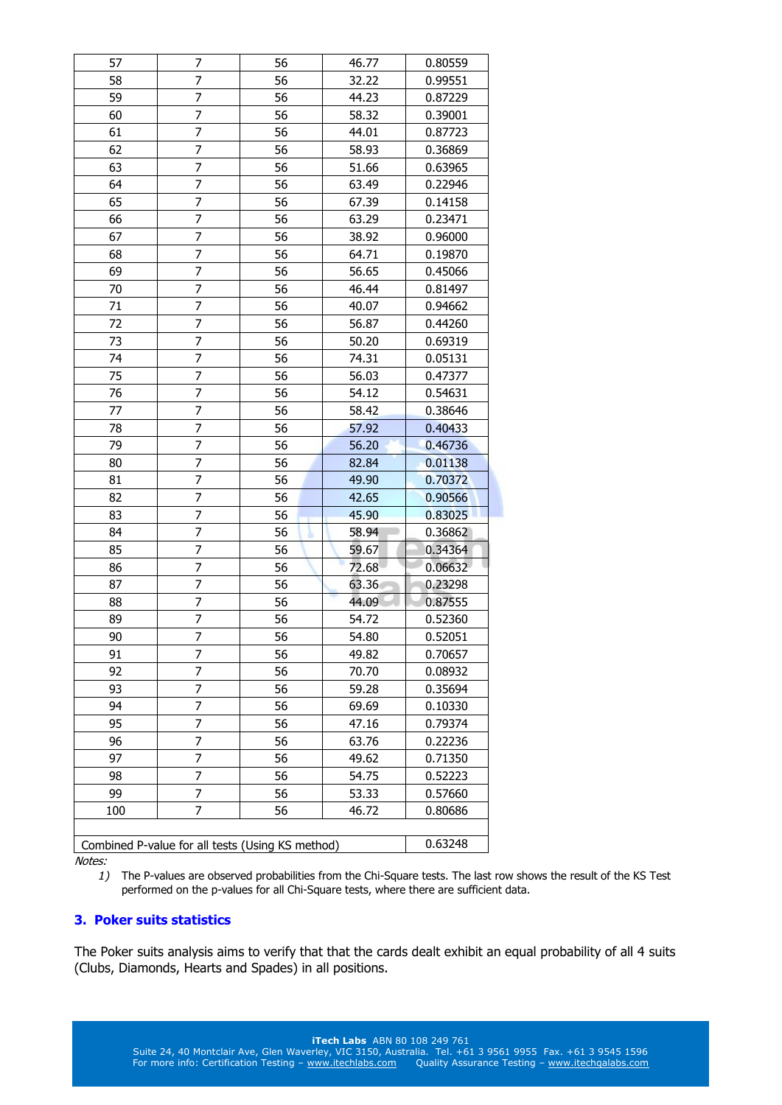| 57  | 7                                                | 56 | 46.77 | 0.80559 |
|-----|--------------------------------------------------|----|-------|---------|
| 58  | 7                                                | 56 | 32.22 | 0.99551 |
| 59  | 7                                                | 56 | 44.23 | 0.87229 |
| 60  | 7                                                | 56 | 58.32 | 0.39001 |
| 61  | 7                                                | 56 | 44.01 | 0.87723 |
| 62  | 7                                                | 56 | 58.93 | 0.36869 |
|     |                                                  |    |       |         |
| 63  | 7                                                | 56 | 51.66 | 0.63965 |
| 64  | 7                                                | 56 | 63.49 | 0.22946 |
| 65  | 7                                                | 56 | 67.39 | 0.14158 |
| 66  | 7                                                | 56 | 63.29 | 0.23471 |
| 67  | 7                                                | 56 | 38.92 | 0.96000 |
| 68  | 7                                                | 56 | 64.71 | 0.19870 |
| 69  | 7                                                | 56 | 56.65 | 0.45066 |
| 70  | 7                                                | 56 | 46.44 | 0.81497 |
| 71  | 7                                                | 56 | 40.07 | 0.94662 |
| 72  | $\overline{7}$                                   | 56 | 56.87 | 0.44260 |
| 73  | 7                                                | 56 | 50.20 | 0.69319 |
| 74  | 7                                                | 56 | 74.31 | 0.05131 |
| 75  | $\overline{7}$                                   | 56 | 56.03 | 0.47377 |
| 76  | 7                                                | 56 | 54.12 | 0.54631 |
| 77  | 7                                                | 56 | 58.42 | 0.38646 |
| 78  | 7                                                | 56 | 57.92 | 0.40433 |
| 79  | 7                                                | 56 | 56.20 | 0.46736 |
| 80  | 7                                                | 56 | 82.84 | 0.01138 |
| 81  | 7                                                | 56 | 49.90 | 0.70372 |
| 82  | $\overline{7}$                                   | 56 | 42.65 | 0.90566 |
| 83  | 7                                                | 56 | 45.90 | 0.83025 |
| 84  | $\overline{7}$                                   | 56 | 58.94 | 0.36862 |
| 85  | 7                                                | 56 | 59.67 | 0.34364 |
| 86  | 7                                                | 56 | 72.68 | 0.06632 |
| 87  | 7                                                | 56 | 63.36 | 0.23298 |
| 88  | 7                                                | 56 | 44.09 | 0.87555 |
| 89  | $\overline{7}$                                   | 56 | 54.72 | 0.52360 |
| 90  | $\overline{7}$                                   | 56 | 54.80 | 0.52051 |
| 91  | 7                                                | 56 | 49.82 | 0.70657 |
| 92  | 7                                                | 56 | 70.70 | 0.08932 |
| 93  | 7                                                | 56 | 59.28 | 0.35694 |
| 94  | 7                                                | 56 | 69.69 | 0.10330 |
| 95  | 7                                                | 56 | 47.16 | 0.79374 |
| 96  | 7                                                | 56 | 63.76 | 0.22236 |
| 97  | $\overline{7}$                                   | 56 | 49.62 | 0.71350 |
| 98  | 7                                                | 56 | 54.75 | 0.52223 |
| 99  | 7                                                | 56 | 53.33 | 0.57660 |
|     | 7                                                | 56 |       |         |
| 100 |                                                  |    | 46.72 | 0.80686 |
|     |                                                  |    |       |         |
|     | Combined P-value for all tests (Using KS method) |    |       | 0.63248 |

*1)* The P-values are observed probabilities from the Chi-Square tests. The last row shows the result of the KS Test performed on the p-values for all Chi-Square tests, where there are sufficient data.

## **3. Poker suits statistics**

The Poker suits analysis aims to verify that that the cards dealt exhibit an equal probability of all 4 suits (Clubs, Diamonds, Hearts and Spades) in all positions.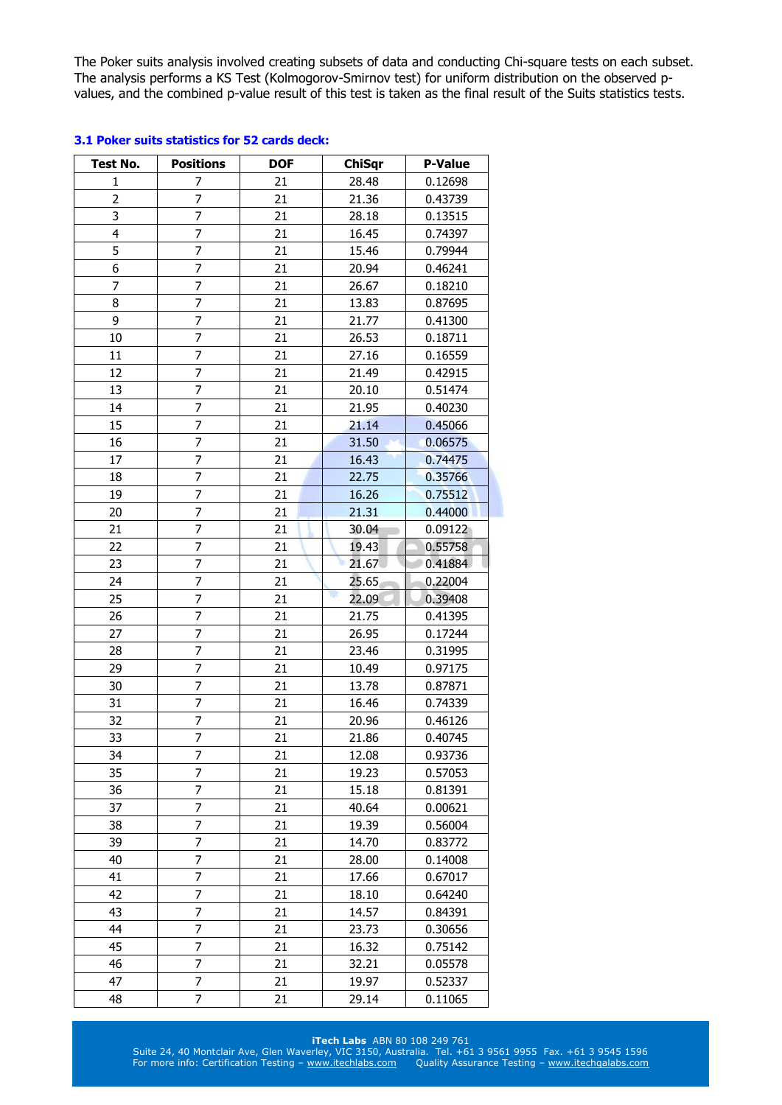The Poker suits analysis involved creating subsets of data and conducting Chi-square tests on each subset. The analysis performs a KS Test (Kolmogorov-Smirnov test) for uniform distribution on the observed pvalues, and the combined p-value result of this test is taken as the final result of the Suits statistics tests.

| <b>Test No.</b>         | <b>Positions</b> | <b>DOF</b> | <b>ChiSqr</b> | <b>P-Value</b> |
|-------------------------|------------------|------------|---------------|----------------|
| 1                       | 7                | 21         | 28.48         | 0.12698        |
| $\overline{c}$          | $\overline{7}$   | 21         | 21.36         | 0.43739        |
| 3                       | $\overline{7}$   | 21         | 28.18         | 0.13515        |
| $\overline{\mathbf{4}}$ | $\overline{7}$   | 21         | 16.45         | 0.74397        |
| 5                       | $\overline{7}$   | 21         | 15.46         | 0.79944        |
| 6                       | $\overline{7}$   | 21         | 20.94         | 0.46241        |
| 7                       | $\overline{7}$   | 21         | 26.67         | 0.18210        |
| 8                       | 7                | 21         | 13.83         | 0.87695        |
| 9                       | $\overline{7}$   | 21         | 21.77         | 0.41300        |
| 10                      | $\overline{7}$   | 21         | 26.53         | 0.18711        |
| 11                      | 7                | 21         | 27.16         | 0.16559        |
| 12                      | $\overline{7}$   | 21         | 21.49         | 0.42915        |
| 13                      | $\overline{7}$   | 21         | 20.10         | 0.51474        |
| 14                      | $\overline{7}$   | 21         | 21.95         | 0.40230        |
| 15                      | $\overline{7}$   | 21         | 21.14         | 0.45066        |
| 16                      | $\overline{7}$   | 21         | 31.50         | 0.06575        |
| 17                      | $\overline{7}$   | 21         | 16.43         | 0.74475        |
| 18                      | $\overline{7}$   | 21         | 22.75         | 0.35766        |
| 19                      | 7                | 21         | 16.26         | 0.75512        |
| 20                      | 7                | 21         | 21.31         | 0.44000        |
| 21                      | $\overline{7}$   | 21         | 30.04         | 0.09122        |
| 22                      | $\overline{7}$   | 21         | 19.43         | 0.55758        |
| 23                      | $\overline{7}$   | 21         | 21.67         | 0.41884        |
| 24                      | $\overline{7}$   | 21         | 25.65         | 0.22004        |
| 25                      | $\overline{7}$   | 21         | ж<br>22.09    | 0.39408        |
| 26                      | $\overline{7}$   | 21         | 21.75         | 0.41395        |
| 27                      | 7                | 21         | 26.95         | 0.17244        |
| 28                      | $\overline{7}$   | 21         | 23.46         | 0.31995        |
| 29                      | $\overline{7}$   | 21         | 10.49         | 0.97175        |
| 30                      | $\overline{7}$   | 21         | 13.78         | 0.87871        |
| 31                      | $\overline{7}$   | 21         | 16.46         | 0.74339        |
| 32                      | 7                | 21         | 20.96         | 0.46126        |
| 33                      | 7                | 21         | 21.86         | 0.40745        |
| 34                      | 7                | 21         | 12.08         | 0.93736        |
| 35                      | 7                | 21         | 19.23         | 0.57053        |
| 36                      | $\overline{7}$   | 21         | 15.18         | 0.81391        |
| 37                      | 7                | 21         | 40.64         | 0.00621        |
| 38                      | 7                | 21         | 19.39         | 0.56004        |
| 39                      | 7                | 21         | 14.70         | 0.83772        |
| 40                      | $\overline{7}$   | 21         | 28.00         | 0.14008        |
| 41                      | 7                | 21         | 17.66         | 0.67017        |
| 42                      | 7                | 21         | 18.10         | 0.64240        |
| 43                      | $\overline{7}$   | 21         | 14.57         | 0.84391        |
| 44                      | 7                | 21         | 23.73         | 0.30656        |
| 45                      | $\overline{7}$   | 21         | 16.32         | 0.75142        |
| 46                      | 7                | 21         | 32.21         | 0.05578        |
| 47                      | 7                | 21         | 19.97         | 0.52337        |
| 48                      | $\overline{7}$   | 21         | 29.14         | 0.11065        |

# **3.1 Poker suits statistics for 52 cards deck:**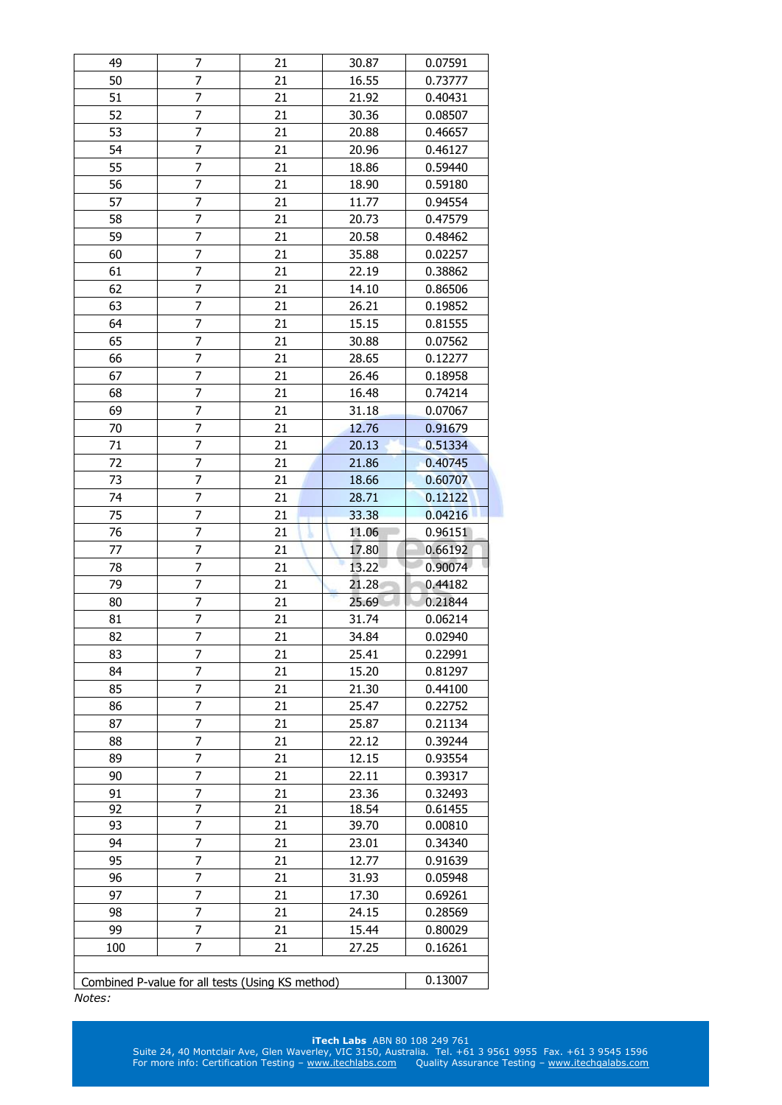| 49       | 7                                                | 21       | 30.87          | 0.07591            |
|----------|--------------------------------------------------|----------|----------------|--------------------|
| 50       | 7                                                | 21       | 16.55          | 0.73777            |
| 51       | 7                                                | 21       | 21.92          | 0.40431            |
| 52       | 7                                                | 21       | 30.36          | 0.08507            |
| 53       | $\overline{7}$                                   | 21       | 20.88          | 0.46657            |
| 54       | $\overline{7}$                                   | 21       | 20.96          | 0.46127            |
| 55       | 7                                                | 21       | 18.86          | 0.59440            |
| 56       | 7                                                | 21       | 18.90          | 0.59180            |
| 57       | $\overline{7}$                                   | 21       | 11.77          | 0.94554            |
| 58       | 7                                                | 21       | 20.73          | 0.47579            |
| 59       | 7                                                | 21       | 20.58          | 0.48462            |
| 60       | 7                                                | 21       | 35.88          | 0.02257            |
| 61       | 7                                                | 21       | 22.19          | 0.38862            |
| 62       | 7                                                | 21       | 14.10          | 0.86506            |
| 63       | 7                                                | 21       | 26.21          | 0.19852            |
| 64       | $\overline{7}$                                   | 21       | 15.15          | 0.81555            |
| 65       | 7                                                | 21       | 30.88          | 0.07562            |
| 66       | 7                                                | 21       | 28.65          | 0.12277            |
| 67       | $\overline{7}$                                   | 21       | 26.46          | 0.18958            |
| 68       | 7                                                | 21       | 16.48          | 0.74214            |
| 69       | 7                                                | 21       | 31.18          | 0.07067            |
| 70       | 7                                                | 21       | 12.76          | 0.91679            |
| 71       | 7                                                | 21       | 20.13          | 0.51334            |
| 72       | $\overline{7}$                                   | 21       | 21.86          | 0.40745            |
| 73       | $\overline{7}$                                   | 21       | 18.66          | 0.60707            |
| 74       | 7                                                |          |                | 0.12122            |
|          | 7                                                | 21<br>21 | 28.71          |                    |
| 75<br>76 | $\overline{7}$                                   | 21       | 33.38          | 0.04216            |
|          | 7                                                |          | 11.06<br>17.80 | 0.96151<br>0.66192 |
|          |                                                  |          |                |                    |
| 77       |                                                  | 21       |                |                    |
| 78       | 7                                                | 21       | 13.22          | 0.90074            |
| 79       | 7                                                | 21       | 21.28          | 0.44182            |
| 80       | 7                                                | 21       | 25.69          | 0.21844            |
| 81       | 7                                                | 21       | 31.74          | 0.06214            |
| 82       | $\overline{7}$                                   | 21       | 34.84          | 0.02940            |
| 83       | 7                                                | 21       | 25.41          | 0.22991            |
| 84       | 7                                                | 21       | 15.20          | 0.81297            |
| 85       | 7                                                | 21       | 21.30          | 0.44100            |
| 86       | 7                                                | 21       | 25.47          | 0.22752            |
| 87       | 7                                                | 21       | 25.87          | 0.21134            |
| 88       | 7                                                | 21       | 22.12          | 0.39244            |
| 89       | 7                                                | 21       | 12.15          | 0.93554            |
| 90       | 7                                                | 21       | 22.11          | 0.39317            |
| 91       | 7                                                | 21       | 23.36          | 0.32493            |
| 92       | $\overline{7}$                                   | 21       | 18.54          | 0.61455            |
| 93       | 7                                                | 21       | 39.70          | 0.00810            |
| 94       | 7                                                | 21       | 23.01          | 0.34340            |
| 95       | 7                                                | 21       | 12.77          | 0.91639            |
| 96       | 7                                                | 21       | 31.93          | 0.05948            |
| 97       | 7                                                | 21       | 17.30          | 0.69261            |
| 98       | 7                                                | 21       | 24.15          | 0.28569            |
| 99       | 7                                                | 21       | 15.44          | 0.80029            |
| 100      | 7                                                | 21       | 27.25          | 0.16261            |
|          | Combined P-value for all tests (Using KS method) |          |                | 0.13007            |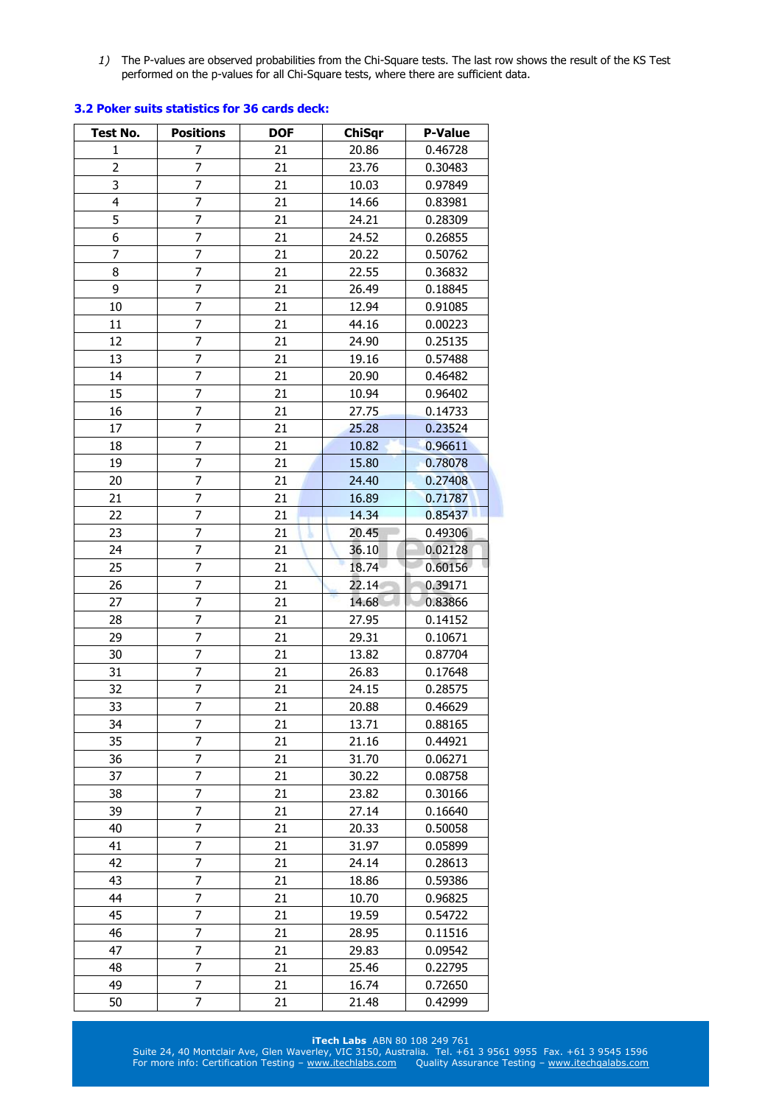*1)* The P-values are observed probabilities from the Chi-Square tests. The last row shows the result of the KS Test performed on the p-values for all Chi-Square tests, where there are sufficient data.

| <b>Test No.</b> | <b>Positions</b> | <b>DOF</b> | <b>ChiSqr</b> | <b>P-Value</b> |
|-----------------|------------------|------------|---------------|----------------|
| 1               | 7                | 21         | 20.86         | 0.46728        |
| 2               | 7                | 21         | 23.76         | 0.30483        |
| 3               | 7                | 21         | 10.03         | 0.97849        |
| 4               | 7                | 21         | 14.66         | 0.83981        |
| 5               | 7                | 21         | 24.21         | 0.28309        |
| 6               | 7                | 21         | 24.52         | 0.26855        |
| 7               | 7                | 21         | 20.22         | 0.50762        |
| 8               | 7                | 21         | 22.55         | 0.36832        |
| 9               | $\overline{7}$   | 21         | 26.49         | 0.18845        |
| 10              | 7                | 21         | 12.94         | 0.91085        |
| 11              | 7                | 21         | 44.16         | 0.00223        |
| 12              | 7                | 21         | 24.90         | 0.25135        |
| 13              | 7                | 21         | 19.16         | 0.57488        |
| 14              | 7                | 21         | 20.90         | 0.46482        |
| 15              | $\overline{7}$   | 21         | 10.94         | 0.96402        |
| 16              | 7                | 21         | 27.75         | 0.14733        |
| 17              | 7                | 21         | 25.28         | 0.23524        |
| 18              | 7                | 21         | 10.82         | 0.96611        |
| 19              | 7                | 21         | 15.80         | 0.78078        |
| 20              | 7                | 21         | 24.40         | 0.27408        |
| 21              | $\overline{7}$   | 21         | 16.89         | 0.71787        |
| 22              | 7                | 21         | 14.34         | 0.85437        |
| 23              | 7                | 21         | 20.45         | 0.49306        |
| 24              | $\overline{7}$   | 21         | 36.10         | 0.02128        |
| 25              | 7                | 21         | 18.74         | 0.60156        |
| 26              | 7                | 21         | 22.14         | 0.39171        |
| 27              | 7                | 21         | 14.68         | 0.83866        |
| 28              | 7                | 21         | 27.95         | 0.14152        |
| 29              | 7                | 21         | 29.31         | 0.10671        |
| 30              | 7                | 21         | 13.82         | 0.87704        |
| 31              | 7                | 21         | 26.83         | 0.17648        |
| 32              | 7                | 21         | 24.15         | 0.28575        |
| 33              | 7                | 21         | 20.88         | 0.46629        |
| 34              | 7                | 21         | 13.71         | 0.88165        |
| 35              | 7                | 21         | 21.16         | 0.44921        |
| 36              | 7                | 21         | 31.70         | 0.06271        |
| 37              | 7                | 21         | 30.22         | 0.08758        |
| 38              | 7                | 21         | 23.82         | 0.30166        |
| 39              | 7                | 21         | 27.14         | 0.16640        |
| 40              | 7                | 21         | 20.33         | 0.50058        |
| 41              | 7                | 21         | 31.97         | 0.05899        |
| 42              | 7                | 21         | 24.14         | 0.28613        |
| 43              | $\overline{7}$   | 21         | 18.86         | 0.59386        |
| 44              | 7                | 21         | 10.70         | 0.96825        |
| 45              | 7                | 21         | 19.59         | 0.54722        |
| 46              | 7                | 21         | 28.95         | 0.11516        |
| 47              | 7                | 21         | 29.83         | 0.09542        |
| 48              | 7                | 21         | 25.46         | 0.22795        |
| 49              | 7                | 21         | 16.74         | 0.72650        |
| 50              | 7                | 21         | 21.48         | 0.42999        |

## **3.2 Poker suits statistics for 36 cards deck:**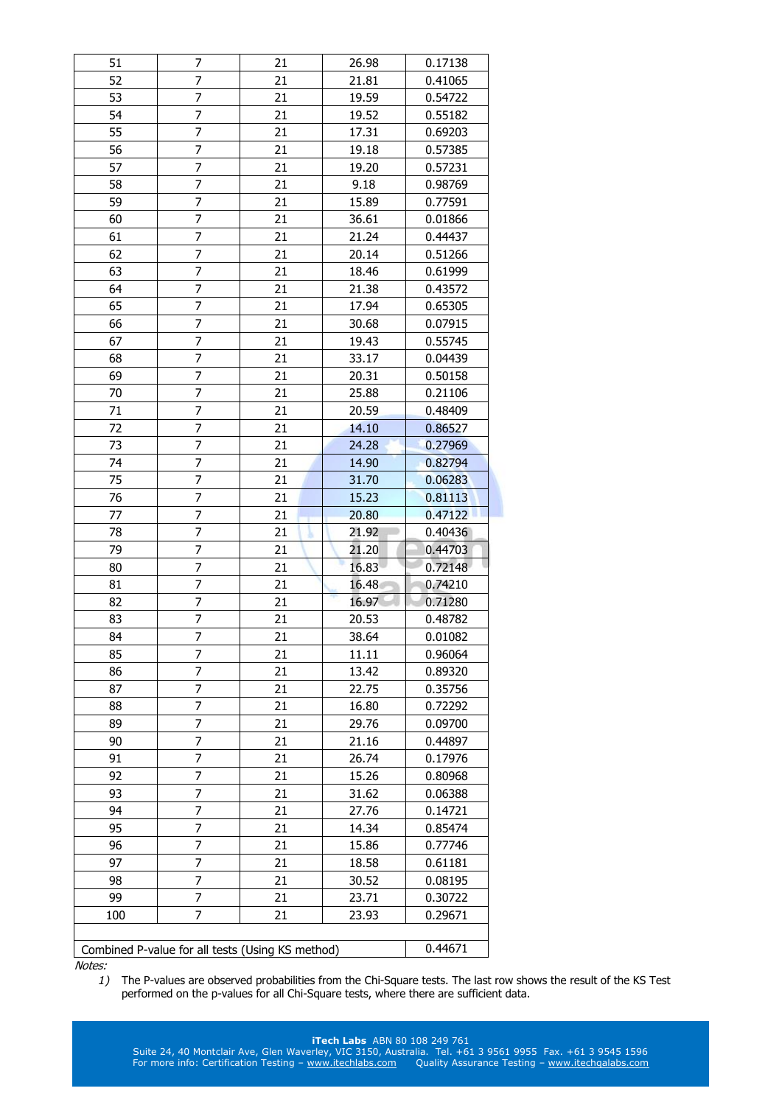| 51  | 7                                                | 21 | 26.98 | 0.17138 |
|-----|--------------------------------------------------|----|-------|---------|
| 52  | 7                                                | 21 | 21.81 | 0.41065 |
| 53  | 7                                                | 21 | 19.59 | 0.54722 |
| 54  | 7                                                | 21 | 19.52 | 0.55182 |
| 55  | 7                                                | 21 | 17.31 | 0.69203 |
| 56  | 7                                                | 21 | 19.18 | 0.57385 |
| 57  | 7                                                | 21 | 19.20 | 0.57231 |
| 58  | $\overline{7}$                                   | 21 | 9.18  | 0.98769 |
| 59  | 7                                                | 21 | 15.89 | 0.77591 |
| 60  | 7                                                | 21 | 36.61 | 0.01866 |
| 61  | 7                                                | 21 | 21.24 | 0.44437 |
| 62  | 7                                                | 21 | 20.14 | 0.51266 |
| 63  | 7                                                | 21 |       |         |
| 64  | $\overline{7}$                                   |    | 18.46 | 0.61999 |
|     |                                                  | 21 | 21.38 | 0.43572 |
| 65  | 7                                                | 21 | 17.94 | 0.65305 |
| 66  | 7                                                | 21 | 30.68 | 0.07915 |
| 67  | 7                                                | 21 | 19.43 | 0.55745 |
| 68  | 7                                                | 21 | 33.17 | 0.04439 |
| 69  | 7                                                | 21 | 20.31 | 0.50158 |
| 70  | $\overline{7}$                                   | 21 | 25.88 | 0.21106 |
| 71  | 7                                                | 21 | 20.59 | 0.48409 |
| 72  | 7                                                | 21 | 14.10 | 0.86527 |
| 73  | 7                                                | 21 | 24.28 | 0.27969 |
| 74  | 7                                                | 21 | 14.90 | 0.82794 |
| 75  | 7                                                | 21 | 31.70 | 0.06283 |
| 76  | 7                                                | 21 | 15.23 | 0.81113 |
| 77  | $\overline{7}$                                   | 21 | 20.80 | 0.47122 |
| 78  | 7                                                | 21 | 21.92 | 0.40436 |
| 79  | 7                                                | 21 | 21.20 | 0.44703 |
| 80  | 7                                                | 21 | 16.83 | 0.72148 |
| 81  | 7                                                | 21 | 16.48 | 0.74210 |
| 82  | 7                                                | 21 | 16.97 | 0.71280 |
| 83  | $\overline{7}$                                   | 21 | 20.53 | 0.48782 |
| 84  | 7                                                | 21 | 38.64 | 0.01082 |
| 85  | 7                                                | 21 | 11.11 | 0.96064 |
| 86  | 7                                                | 21 | 13.42 | 0.89320 |
| 87  | 7                                                | 21 | 22.75 | 0.35756 |
| 88  | 7                                                | 21 | 16.80 | 0.72292 |
| 89  | 7                                                | 21 | 29.76 | 0.09700 |
| 90  | 7                                                | 21 | 21.16 | 0.44897 |
| 91  | 7                                                | 21 | 26.74 | 0.17976 |
| 92  | 7                                                | 21 | 15.26 | 0.80968 |
| 93  | 7                                                | 21 | 31.62 | 0.06388 |
| 94  | 7                                                | 21 | 27.76 | 0.14721 |
| 95  | 7                                                | 21 | 14.34 | 0.85474 |
| 96  | 7                                                | 21 | 15.86 | 0.77746 |
| 97  | 7                                                | 21 | 18.58 | 0.61181 |
|     |                                                  |    |       |         |
| 98  |                                                  |    |       |         |
|     | 7                                                | 21 | 30.52 | 0.08195 |
| 99  | 7                                                | 21 | 23.71 | 0.30722 |
| 100 | 7                                                | 21 | 23.93 | 0.29671 |
|     | Combined P-value for all tests (Using KS method) |    |       | 0.44671 |

*1)* The P-values are observed probabilities from the Chi-Square tests. The last row shows the result of the KS Test performed on the p-values for all Chi-Square tests, where there are sufficient data.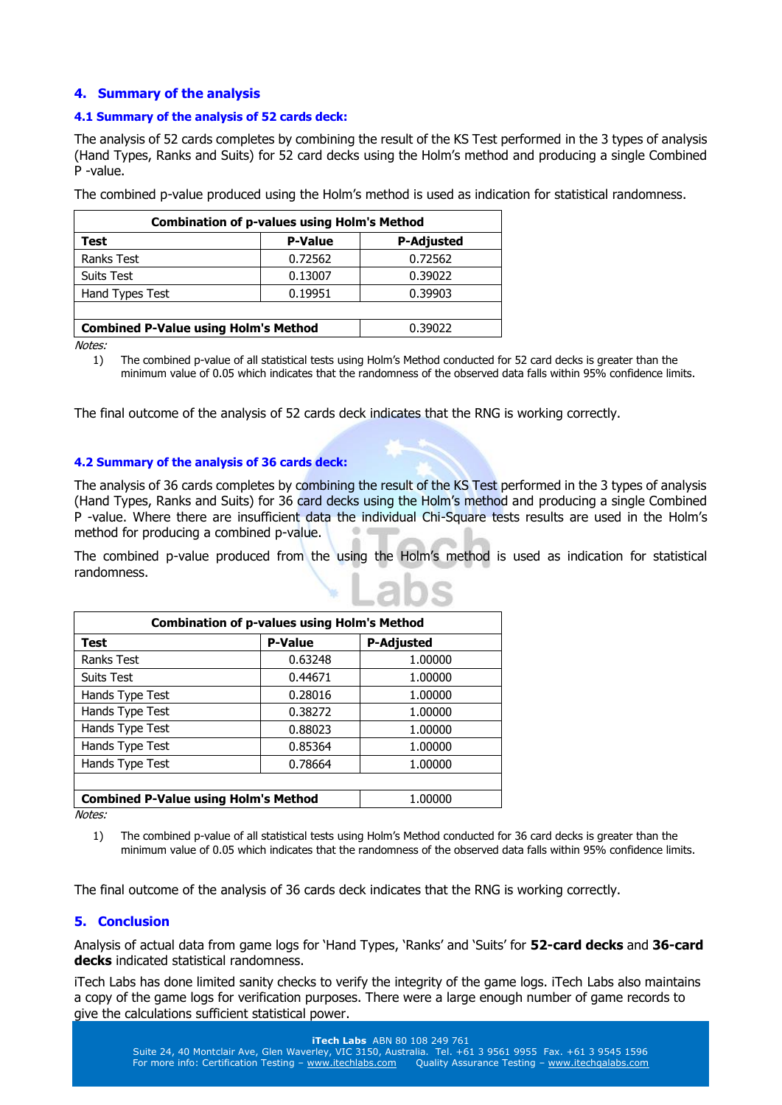# **4. Summary of the analysis**

## **4.1 Summary of the analysis of 52 cards deck:**

The analysis of 52 cards completes by combining the result of the KS Test performed in the 3 types of analysis (Hand Types, Ranks and Suits) for 52 card decks using the Holm's method and producing a single Combined P -value.

The combined p-value produced using the Holm's method is used as indication for statistical randomness.

| <b>Combination of p-values using Holm's Method</b> |                |                   |  |  |  |
|----------------------------------------------------|----------------|-------------------|--|--|--|
| Test                                               | <b>P-Value</b> | <b>P-Adjusted</b> |  |  |  |
| <b>Ranks Test</b>                                  | 0.72562        | 0.72562           |  |  |  |
| <b>Suits Test</b>                                  | 0.13007        | 0.39022           |  |  |  |
| Hand Types Test                                    | 0.19951        | 0.39903           |  |  |  |
|                                                    |                |                   |  |  |  |
| <b>Combined P-Value using Holm's Method</b>        | 0.39022        |                   |  |  |  |

Notes:

1) The combined p-value of all statistical tests using Holm's Method conducted for 52 card decks is greater than the minimum value of 0.05 which indicates that the randomness of the observed data falls within 95% confidence limits.

The final outcome of the analysis of 52 cards deck indicates that the RNG is working correctly.

## **4.2 Summary of the analysis of 36 cards deck:**

The analysis of 36 cards completes by combining the result of the KS Test performed in the 3 types of analysis (Hand Types, Ranks and Suits) for 36 card decks using the Holm's method and producing a single Combined P -value. Where there are insufficient data the individual Chi-Square tests results are used in the Holm's method for producing a combined p-value.

The combined p-value produced from the using the Holm's method is used as indication for statistical randomness.

| <b>Combination of p-values using Holm's Method</b> |                |                   |  |  |  |  |
|----------------------------------------------------|----------------|-------------------|--|--|--|--|
| <b>Test</b>                                        | <b>P-Value</b> | <b>P-Adjusted</b> |  |  |  |  |
| <b>Ranks Test</b>                                  | 0.63248        | 1.00000           |  |  |  |  |
| <b>Suits Test</b>                                  | 0.44671        | 1.00000           |  |  |  |  |
| Hands Type Test                                    | 0.28016        | 1.00000           |  |  |  |  |
| Hands Type Test                                    | 0.38272        | 1.00000           |  |  |  |  |
| Hands Type Test                                    | 0.88023        | 1.00000           |  |  |  |  |
| Hands Type Test                                    | 0.85364        | 1.00000           |  |  |  |  |
| Hands Type Test                                    | 0.78664        | 1.00000           |  |  |  |  |
|                                                    |                |                   |  |  |  |  |
| <b>Combined P-Value using Holm's Method</b>        | 1.00000        |                   |  |  |  |  |

Notes:

1) The combined p-value of all statistical tests using Holm's Method conducted for 36 card decks is greater than the minimum value of 0.05 which indicates that the randomness of the observed data falls within 95% confidence limits.

The final outcome of the analysis of 36 cards deck indicates that the RNG is working correctly.

# **5. Conclusion**

Analysis of actual data from game logs for 'Hand Types, 'Ranks' and 'Suits' for **52-card decks** and **36-card decks** indicated statistical randomness.

iTech Labs has done limited sanity checks to verify the integrity of the game logs. iTech Labs also maintains a copy of the game logs for verification purposes. There were a large enough number of game records to give the calculations sufficient statistical power.